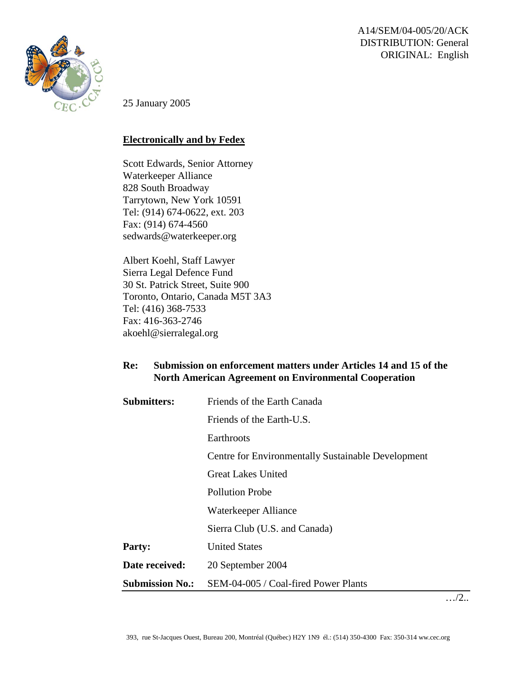A14/SEM/04-005/20/ACK DISTRIBUTION: General ORIGINAL: English



25 January 2005

## **Electronically and by Fedex**

Scott Edwards, Senior Attorney Waterkeeper Alliance 828 South Broadway Tarrytown, New York 10591 Tel: (914) 674-0622, ext. 203 Fax: (914) 674-4560 [sedwards@waterkeeper.org](mailto:sedwards@waterkeeper.org)

Albert Koehl, Staff Lawyer Sierra Legal Defence Fund 30 St. Patrick Street, Suite 900 Toronto, Ontario, Canada M5T 3A3 Tel: (416) 368-7533 Fax: 416-363-2746 akoehl@sierralegal.org

## **Re: Submission on enforcement matters under Articles 14 and 15 of the North American Agreement on Environmental Cooperation**

| <b>Submitters:</b>     | Friends of the Earth Canada                               |
|------------------------|-----------------------------------------------------------|
|                        | Friends of the Earth-U.S.                                 |
|                        | Earthroots                                                |
|                        | <b>Centre for Environmentally Sustainable Development</b> |
|                        | <b>Great Lakes United</b>                                 |
|                        | <b>Pollution Probe</b>                                    |
|                        | Waterkeeper Alliance                                      |
|                        | Sierra Club (U.S. and Canada)                             |
| <b>Party:</b>          | <b>United States</b>                                      |
| Date received:         | 20 September 2004                                         |
| <b>Submission No.:</b> | SEM-04-005 / Coal-fired Power Plants                      |

…/2..